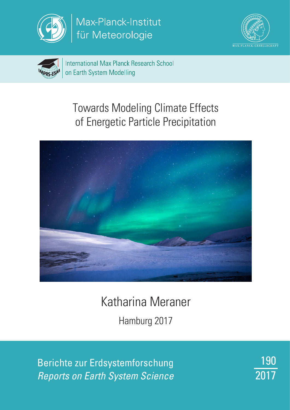

Max-Planck-Institut<br>für Meteorologie





**International Max Planck Research School** on Earth System Modelling

# Towards Modeling Climate Effects of Energetic Particle Precipitation



# Katharina Meraner

Hamburg 2017

Berichte zur Erdsystemforschung Reports on Earth System Science

 190 2017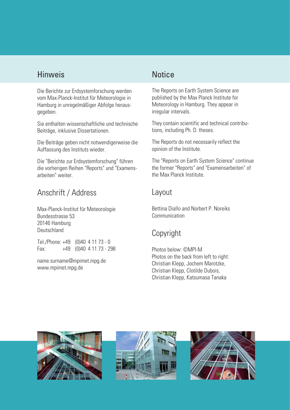#### Hinweis

Die Berichte zur Erdsystemforschung werden vom Max-Planck-Institut für Meteorologie in Hamburg in unregelmäßiger Abfolge herausgegeben.

Sie enthalten wissenschaftliche und technische Beiträge, inklusive Dissertationen.

Die Beiträge geben nicht notwendigerweise die Auffassung des Instituts wieder.

Die "Berichte zur Erdsystemforschung" führen die vorherigen Reihen "Reports" und "Examensarbeiten" weiter.

### Anschrift / Address

Max-Planck-Institut für Meteorologie Bundesstrasse 53 20146 Hamburg Deutschland

Tel./Phone: +49 (0)40 4 11 73 - 0 Fax: +49 (0)40 4 11 73 - 298

name.surname@mpimet.mpg.de www.mpimet.mpg.de

#### **Notice**

The Reports on Earth System Science are published by the Max Planck Institute for Meteorology in Hamburg. They appear in irregular intervals.

They contain scientific and technical contributions, including Ph. D. theses.

The Reports do not necessarily reflect the opinion of the Institute.

The "Reports on Earth System Science" continue the former "Reports" and "Examensarbeiten" of the Max Planck Institute.

#### Layout

Bettina Diallo and Norbert P. Noreiks Communication

## Copyright

Photos below: ©MPI-M Photos on the back from left to right: Christian Klepp, Jochem Marotzke, Christian Klepp, Clotilde Dubois, Christian Klepp, Katsumasa Tanaka





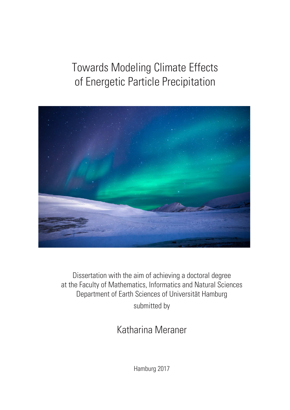## Towards Modeling Climate Effects of Energetic Particle Precipitation



Dissertation with the aim of achieving a doctoral degree at the Faculty of Mathematics, Informatics and Natural Sciences Department of Earth Sciences of Universität Hamburg submitted by

## Katharina Meraner

Hamburg 2017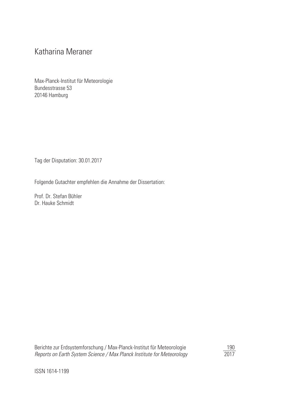#### Katharina Meraner

Max-Planck-Institut für Meteorologie Bundesstrasse 53 20146 Hamburg

Tag der Disputation: 30.01.2017

Folgende Gutachter empfehlen die Annahme der Dissertation:

Prof. Dr. Stefan Bühler Dr. Hauke Schmidt

Berichte zur Erdsystemforschung / Max-Planck-Institut für Meteorologie 190<br> *Reports on Earth System Science / Max Planck Institute for Meteorology* 19017 Reports on Earth System Science / Max Planck Institute for Meteorology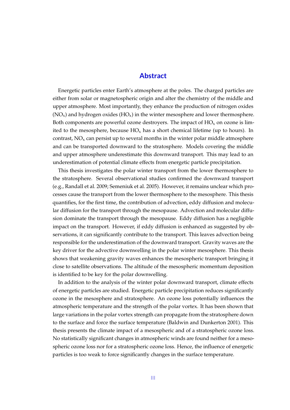#### **Abstract**

Energetic particles enter Earth's atmosphere at the poles. The charged particles are either from solar or magnetospheric origin and alter the chemistry of the middle and upper atmosphere. Most importantly, they enhance the production of nitrogen oxides  $(NO_x)$  and hydrogen oxides  $(HO_x)$  in the winter mesosphere and lower thermosphere. Both components are powerful ozone destroyers. The impact of  $HO_x$  on ozone is limited to the mesosphere, because  $HO_x$  has a short chemical lifetime (up to hours). In contrast,  $NO<sub>x</sub>$  can persist up to several months in the winter polar middle atmosphere and can be transported downward to the stratosphere. Models covering the middle and upper atmosphere underestimate this downward transport. This may lead to an underestimation of potential climate effects from energetic particle precipitation.

This thesis investigates the polar winter transport from the lower thermosphere to the stratosphere. Several observational studies confirmed the downward transport (e.g., Randall et al. 2009; Semeniuk et al. 2005). However, it remains unclear which processes cause the transport from the lower thermosphere to the mesosphere. This thesis quantifies, for the first time, the contribution of advection, eddy diffusion and molecular diffusion for the transport through the mesopause. Advection and molecular diffusion dominate the transport through the mesopause. Eddy diffusion has a negligible impact on the transport. However, if eddy diffusion is enhanced as suggested by observations, it can significantly contribute to the transport. This leaves advection being responsible for the underestimation of the downward transport. Gravity waves are the key driver for the advective downwelling in the polar winter mesosphere. This thesis shows that weakening gravity waves enhances the mesospheric transport bringing it close to satellite observations. The altitude of the mesospheric momentum deposition is identified to be key for the polar downwelling.

In addition to the analysis of the winter polar downward transport, climate effects of energetic particles are studied. Energetic particle precipitation reduces significantly ozone in the mesosphere and stratosphere. An ozone loss potentially influences the atmospheric temperature and the strength of the polar vortex. It has been shown that large variations in the polar vortex strength can propagate from the stratosphere down to the surface and force the surface temperature (Baldwin and Dunkerton 2001). This thesis presents the climate impact of a mesospheric and of a stratospheric ozone loss. No statistically significant changes in atmospheric winds are found neither for a mesospheric ozone loss nor for a stratospheric ozone loss. Hence, the influence of energetic particles is too weak to force significantly changes in the surface temperature.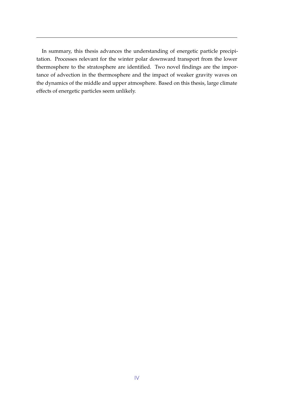In summary, this thesis advances the understanding of energetic particle precipitation. Processes relevant for the winter polar downward transport from the lower thermosphere to the stratosphere are identified. Two novel findings are the importance of advection in the thermosphere and the impact of weaker gravity waves on the dynamics of the middle and upper atmosphere. Based on this thesis, large climate effects of energetic particles seem unlikely.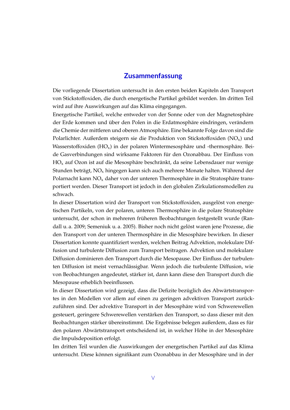#### **Zusammenfassung**

Die vorliegende Dissertation untersucht in den ersten beiden Kapiteln den Transport von Stickstoffoxiden, die durch energetische Partikel gebildet werden. Im dritten Teil wird auf ihre Auswirkungen auf das Klima eingegangen.

Energetische Partikel, welche entweder von der Sonne oder von der Magnetosphäre der Erde kommen und über den Polen in die Erdatmosphäre eindringen, verändern die Chemie der mittleren und oberen Atmosphäre. Eine bekannte Folge davon sind die Polarlichter. Außerdem steigern sie die Produktion von Stickstoffoxiden ( $NO<sub>x</sub>$ ) und Wasserstoffoxiden (HO<sub>x</sub>) in der polaren Wintermesosphäre und -thermosphäre. Beide Gasverbindungen sind wirksame Faktoren für den Ozonabbau. Der Einfluss von HO<sup>x</sup> auf Ozon ist auf die Mesosphäre beschränkt, da seine Lebensdauer nur wenige Stunden beträgt, NO<sub>x</sub> hingegen kann sich auch mehrere Monate halten. Während der Polarnacht kann NO<sub>x</sub> daher von der unteren Thermosphäre in die Stratosphäre transportiert werden. Dieser Transport ist jedoch in den globalen Zirkulationsmodellen zu schwach.

In dieser Dissertation wird der Transport von Stickstoffoxiden, ausgelöst von energetischen Partikeln, von der polaren, unteren Thermosphäre in die polare Stratosphäre untersucht, der schon in mehreren früheren Beobachtungen festgestellt wurde (Randall u. a. 2009; Semeniuk u. a. 2005). Bisher noch nicht gelöst waren jene Prozesse, die den Transport von der unteren Thermosphäre in die Mesosphäre bewirken. In dieser Dissertation konnte quantifiziert werden, welchen Beitrag Advektion, molekulare Diffusion und turbulente Diffusion zum Transport beitragen. Advektion und molekulare Diffusion dominieren den Transport durch die Mesopause. Der Einfluss der turbulenten Diffusion ist meist vernachlässigbar. Wenn jedoch die turbulente Diffusion, wie von Beobachtungen angedeutet, stärker ist, dann kann diese den Transport durch die Mesopause erheblich beeinflussen.

In dieser Dissertation wird gezeigt, dass die Defizite bezüglich des Abwärtstransportes in den Modellen vor allem auf einen zu geringen advektiven Transport zurückzuführen sind. Der advektive Transport in der Mesosphäre wird von Schwerewellen gesteuert, geringere Schwerewellen verstärken den Transport, so dass dieser mit den Beobachtungen stärker übereinstimmt. Die Ergebnisse belegen außerdem, dass es für den polaren Abwärtstransport entscheidend ist, in welcher Höhe in der Mesosphäre die Impulsdeposition erfolgt.

Im dritten Teil wurden die Auswirkungen der energetischen Partikel auf das Klima untersucht. Diese können signifikant zum Ozonabbau in der Mesosphäre und in der